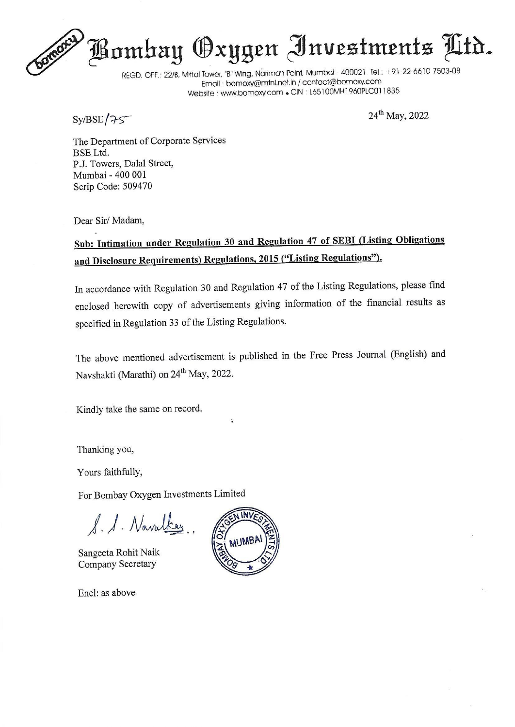# Bombay Oxygen Investments Mtr.

REGD. OFF.: 22/8, Mittal Tower, "B" Wing, Nariman Point, Mumbai - 400021 Tel.: +91-22-6610 7503-08 Email : bornoxy@mini.net.in / contact@bomoxy.com Website : www.bomoxy.com . CIN : L65100MH1960PLC011835

 $Sy/BSE / 75$  2022

The Department of Corporate Services BSE Ltd. P.J. Towers, Dalal Street, Mumbai - 400 001 Scrip Code: 509470

Dear Sir/ Madam,

### Sub: Intimation under Regulation 30 and Regulation 47 of SEBI (Listing Obligations and Disclosure Requirements) Regulations, 2015 ("Listing Regulations").

In accordance with Regulation 30 and Regulation 47 of the Listing Regulations, please find enclosed herewith copy of advertisements giving information of the financial results as specified in Regulation 33 of the Listing Regulations.

The above mentioned advertisement is published in the Free Press Journal (English) and Navshakti (Marathi) on 24<sup>th</sup> May, 2022.

Kindly take the same on record.

Thanking you,

Yours faithfully,

For Bombay Oxygen Investments Limited

AA. Noaodhay..

Sangeeta Rohit Naik Company Secretary

Encl: as above



 $\ddot{z}$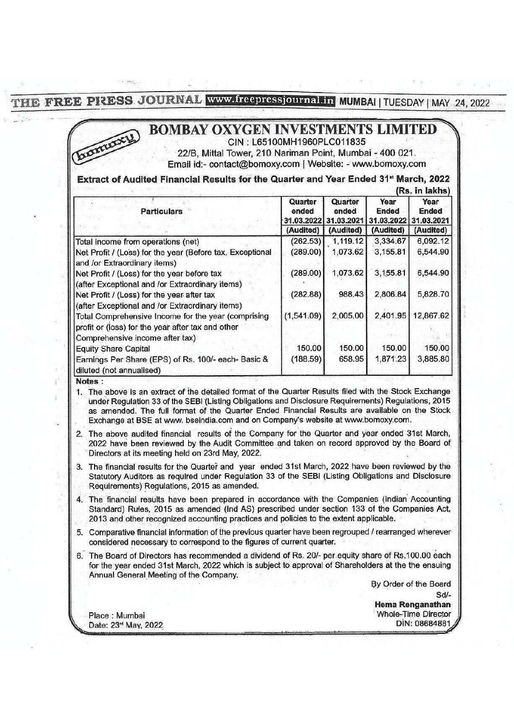THE FREE PIRESS JOURNAL WWW.freepressjournalin MUMBAI | TUESDAY | MAY 24, 2022 PIZESS JOURNAL WWW.freep E PRESS JOURNAL WWW.freep

#### 7 (5) BOMBAY OXYGEN INVESTMENTS LIMITED CIN : L65100MH1960PLC011835 '

#### Extract of Audited Financial Results for the Quarter and Year Ended 31\* March, 2022

| E PIRESS JOURNAL www.freepressjournal.in MUMBAI   TUESDAY   MAY<br><b>BOMBAY OXYGEN INVESTMENTS LIMITEI</b><br><b>Dimmxy</b><br>CIN: L65100MH1960PLC011835<br>22/B, Mittal Tower, 210 Nariman Point, Mumbai - 400 021.<br>Email id:- contact@bomoxy.com   Website: - www.bomoxy.com<br>Extract of Audited Financial Results for the Quarter and Year Ended 31 <sup>st</sup> March, 2022 |                                |                                |                                    |                             |
|-----------------------------------------------------------------------------------------------------------------------------------------------------------------------------------------------------------------------------------------------------------------------------------------------------------------------------------------------------------------------------------------|--------------------------------|--------------------------------|------------------------------------|-----------------------------|
|                                                                                                                                                                                                                                                                                                                                                                                         |                                |                                |                                    | (Rs. in lakhs)              |
| <b>Particulars</b>                                                                                                                                                                                                                                                                                                                                                                      | Quarter<br>ended<br>31.03.2022 | Quarter<br>ended<br>31.03.2021 | Year<br><b>Ended</b><br>31.03.2022 | Year<br>Ended<br>31.03.2021 |
|                                                                                                                                                                                                                                                                                                                                                                                         | (Audited)                      | (Audited)                      | (Audited)                          | (Audited)                   |
| Total income from operations (net)                                                                                                                                                                                                                                                                                                                                                      | (262.53)                       | 1,119.12                       | 3,334.67                           | 6,092.12                    |
| Net Profit / (Loss) for the year (Before tax, Exceptional                                                                                                                                                                                                                                                                                                                               | (289.00)                       | 1,073.62                       | 3,155.81                           | 6,544.90                    |
| and /or Extraordinary items)                                                                                                                                                                                                                                                                                                                                                            |                                |                                |                                    |                             |
| Net Profit / (Loss) for the year before tax                                                                                                                                                                                                                                                                                                                                             | (289.00)                       | 1,073.62                       | 3,155.81                           | 6,544.90                    |
| (after Exceptional and /or Extraordinary items)                                                                                                                                                                                                                                                                                                                                         |                                |                                |                                    |                             |
| Net Profit / (Loss) for the year after tax                                                                                                                                                                                                                                                                                                                                              | (282.88)                       | 988.43                         | 2,806.84                           | 5,828.70                    |
| (after Exceptional and /or Extraordinary items)                                                                                                                                                                                                                                                                                                                                         |                                |                                |                                    |                             |
| Total Comprehensive Income for the year (comprising                                                                                                                                                                                                                                                                                                                                     | (1,541.09)                     | 2,005.00                       | 2,401.95                           | 12,867.62                   |
| profit or (loss) for the year after tax and other                                                                                                                                                                                                                                                                                                                                       |                                |                                |                                    |                             |
| Comprehensive income after tax)                                                                                                                                                                                                                                                                                                                                                         |                                |                                |                                    |                             |
| <b>Equity Share Capital</b><br>Earnings Per Share (EPS) of Rs. 100/- each- Basic &                                                                                                                                                                                                                                                                                                      | 150.00<br>(188.59)             | 150.00<br>658.95               | 150.00<br>1,871.23                 | 150.00<br>3,885.80          |

#### Notes :

1. The above is an extract of the detailed format of the Quarter Results filed with the Stock Exchange under Regulation 33 of the SEBI (Listing Obligations and Disclosure Requirements) Regulations, 2015 as amended. The full format of the Quarter Ended Financial Results are available on the Stock Exchange at BSE at www. bseindia.com and on Company's website at www.bomoxy.com.

2. The above audited financial results of the Company for the Quarter and year ended 31st March, 2022 have been reviewed by the Audit Committee and taken on record approved by the Board of 'Directors at its meeting held on 23rd May, 2022.

- 3. The financial results for the Quarter and year ended 31st March, 2022 have been reviewed by the Statutory Auditors as required under Regulation 33 of the SEBI (Listing Obligations and Disclosure Requirements) Regulations, 2015 as amended.
- The financial results have been prepared in accordance with the Companies (Indian Accounting Standard) Rules, 2015 as amended (Ind AS) prescribed under section 133 of the Companies Act, 2013 and other recognized accounting practices and policies to the extent applicable.
- 5. Comparative financial information of the previous quarter have been regrouped / rearranged wherever considered necessary to correspond to the figures of current quarter.
- 6. The Board of Directors has recommended a dividend of Rs. 20/- per.equity share of Rs.100.00 each for the year ended 31st March, 2022 which is subject to approval of Shareholders at the the ensuing Annual General Meeting of the Company.

By Order of the Board Sd/-<br>Hema Renganathan<br>Whole-Time Director<br>DIN: 08684881 Whole-Time Director Date: 23<sup>%</sup> May, 2022 2008 08684881

Place: Mumbai